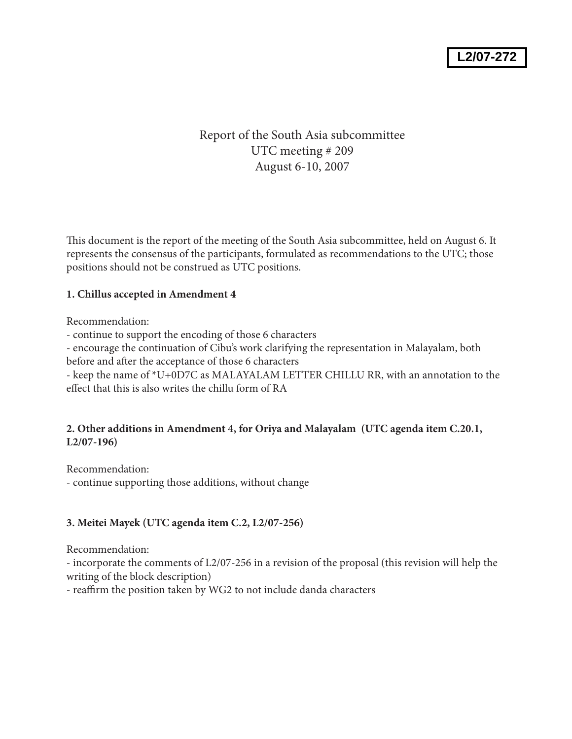# Report of the South Asia subcommittee UTC meeting # 209 August 6-10, 2007

This document is the report of the meeting of the South Asia subcommittee, held on August 6. It represents the consensus of the participants, formulated as recommendations to the UTC; those positions should not be construed as UTC positions.

# **1. Chillus accepted in Amendment 4**

Recommendation:

- continue to support the encoding of those 6 characters

- encourage the continuation of Cibu's work clarifying the representation in Malayalam, both before and after the acceptance of those 6 characters

- keep the name of \*U+0D7C as MALAYALAM LETTER CHILLU RR, with an annotation to the effect that this is also writes the chillu form of RA

## **2. Other additions in Amendment 4, for Oriya and Malayalam (UTC agenda item C.20.1, L2/07-196)**

Recommendation:

- continue supporting those additions, without change

# **3. Meitei Mayek (UTC agenda item C.2, L2/07-256)**

Recommendation:

- incorporate the comments of L2/07-256 in a revision of the proposal (this revision will help the writing of the block description)

- reaffirm the position taken by WG2 to not include danda characters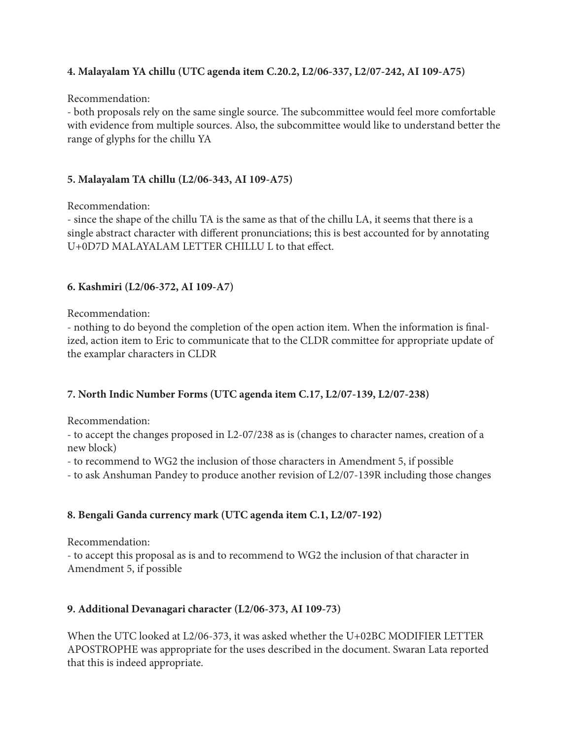# **4. Malayalam YA chillu (UTC agenda item C.20.2, L2/06-337, L2/07-242, AI 109-A75)**

#### Recommendation:

- both proposals rely on the same single source. The subcommittee would feel more comfortable with evidence from multiple sources. Also, the subcommittee would like to understand better the range of glyphs for the chillu YA

## **5. Malayalam TA chillu (L2/06-343, AI 109-A75)**

Recommendation:

- since the shape of the chillu TA is the same as that of the chillu LA, it seems that there is a single abstract character with different pronunciations; this is best accounted for by annotating U+0D7D MALAYALAM LETTER CHILLU L to that effect.

## **6. Kashmiri (L2/06-372, AI 109-A7)**

Recommendation:

- nothing to do beyond the completion of the open action item. When the information is finalized, action item to Eric to communicate that to the CLDR committee for appropriate update of the examplar characters in CLDR

### **7. North Indic Number Forms (UTC agenda item C.17, L2/07-139, L2/07-238)**

Recommendation:

- to accept the changes proposed in L2-07/238 as is (changes to character names, creation of a new block)

- to recommend to WG2 the inclusion of those characters in Amendment 5, if possible

- to ask Anshuman Pandey to produce another revision of L2/07-139R including those changes

### **8. Bengali Ganda currency mark (UTC agenda item C.1, L2/07-192)**

Recommendation:

- to accept this proposal as is and to recommend to WG2 the inclusion of that character in Amendment 5, if possible

### **9. Additional Devanagari character (L2/06-373, AI 109-73)**

When the UTC looked at L2/06-373, it was asked whether the U+02BC MODIFIER LETTER APOSTROPHE was appropriate for the uses described in the document. Swaran Lata reported that this is indeed appropriate.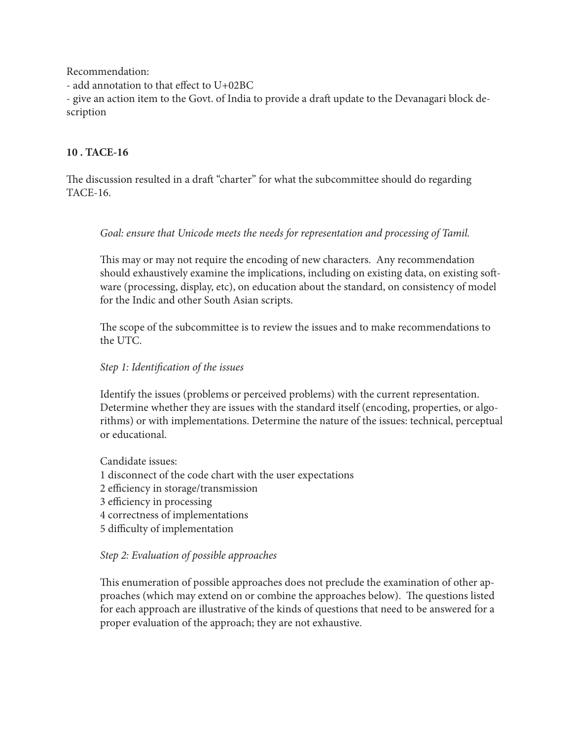Recommendation:

- add annotation to that effect to U+02BC

- give an action item to the Govt. of India to provide a draft update to the Devanagari block description

# **10 . TACE-16**

The discussion resulted in a draft "charter" for what the subcommittee should do regarding TACE-16.

## *Goal: ensure that Unicode meets the needs for representation and processing of Tamil.*

This may or may not require the encoding of new characters. Any recommendation should exhaustively examine the implications, including on existing data, on existing software (processing, display, etc), on education about the standard, on consistency of model for the Indic and other South Asian scripts.

The scope of the subcommittee is to review the issues and to make recommendations to the UTC.

## *Step 1: Identification of the issues*

Identify the issues (problems or perceived problems) with the current representation. Determine whether they are issues with the standard itself (encoding, properties, or algorithms) or with implementations. Determine the nature of the issues: technical, perceptual or educational.

Candidate issues: 1 disconnect of the code chart with the user expectations 2 efficiency in storage/transmission 3 efficiency in processing 4 correctness of implementations 5 difficulty of implementation

### *Step 2: Evaluation of possible approaches*

This enumeration of possible approaches does not preclude the examination of other approaches (which may extend on or combine the approaches below). The questions listed for each approach are illustrative of the kinds of questions that need to be answered for a proper evaluation of the approach; they are not exhaustive.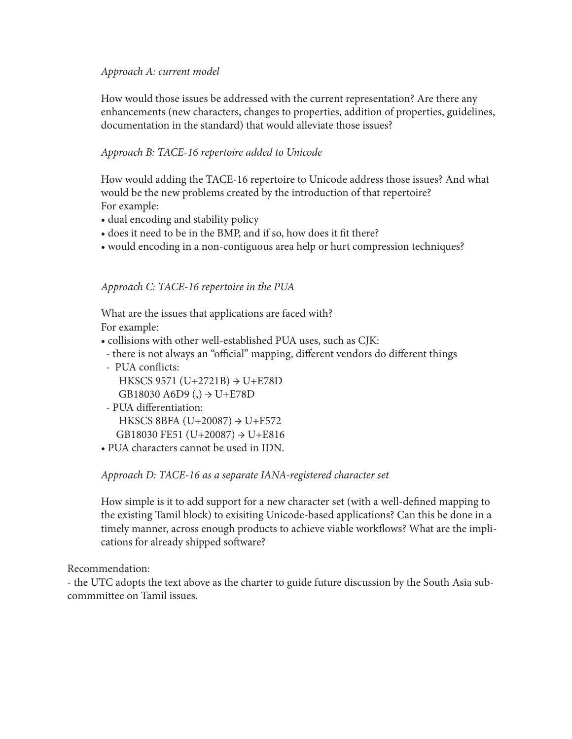## *Approach A: current model*

How would those issues be addressed with the current representation? Are there any enhancements (new characters, changes to properties, addition of properties, guidelines, documentation in the standard) that would alleviate those issues?

# *Approach B: TACE-16 repertoire added to Unicode*

How would adding the TACE-16 repertoire to Unicode address those issues? And what would be the new problems created by the introduction of that repertoire? For example:

- dual encoding and stability policy
- does it need to be in the BMP, and if so, how does it fit there?
- would encoding in a non-contiguous area help or hurt compression techniques?

## *Approach C: TACE-16 repertoire in the PUA*

What are the issues that applications are faced with? For example:

- collisions with other well-established PUA uses, such as CJK:
- there is not always an "official" mapping, different vendors do different things
- PUA conflicts: HKSCS 9571 (U+2721B)  $\rightarrow$  U+E78D GB18030 A6D9 (,)  $\rightarrow$  U+E78D
- PUA differentiation: HKSCS 8BFA  $(U+20087) \rightarrow U+F572$ GB18030 FE51 (U+20087) → U+E816
- PUA characters cannot be used in IDN.

### *Approach D: TACE-16 as a separate IANA-registered character set*

How simple is it to add support for a new character set (with a well-defined mapping to the existing Tamil block) to exisiting Unicode-based applications? Can this be done in a timely manner, across enough products to achieve viable workflows? What are the implications for already shipped software?

### Recommendation:

- the UTC adopts the text above as the charter to guide future discussion by the South Asia subcommmittee on Tamil issues.